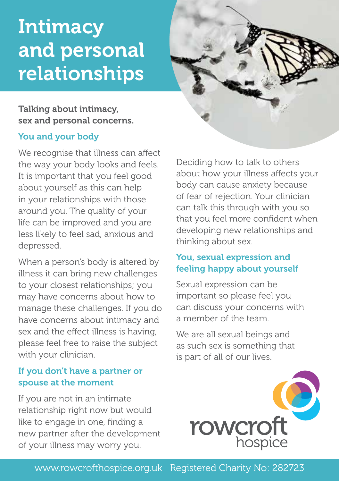# **Intimacy** and personal relationships



# Talking about intimacy, sex and personal concerns.

## You and your body

We recognise that illness can affect the way your body looks and feels. It is important that you feel good about yourself as this can help in your relationships with those around you. The quality of your life can be improved and you are less likely to feel sad, anxious and depressed.

When a person's body is altered by illness it can bring new challenges to your closest relationships; you may have concerns about how to manage these challenges. If you do have concerns about intimacy and sex and the effect illness is having, please feel free to raise the subject with your clinician.

# If you don't have a partner or spouse at the moment

If you are not in an intimate relationship right now but would like to engage in one, finding a new partner after the development of your illness may worry you.

Deciding how to talk to others about how your illness affects your body can cause anxiety because of fear of rejection. Your clinician can talk this through with you so that you feel more confident when developing new relationships and thinking about sex.

# You, sexual expression and feeling happy about yourself

Sexual expression can be important so please feel you can discuss your concerns with a member of the team.

We are all sexual beings and as such sex is something that is part of all of our lives.



## www.rowcrofthospice.org.uk Registered Charity No: 282723